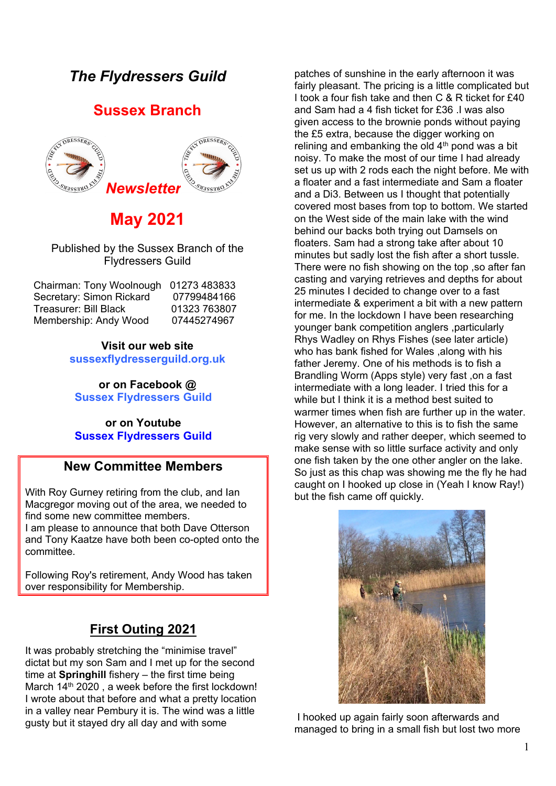# *The Flydressers Guild*

## **Sussex Branch**



# **May 2021**

Published by the Sussex Branch of the Flydressers Guild

| Chairman: Tony Woolnough | 01273 483833 |
|--------------------------|--------------|
| Secretary: Simon Rickard | 07799484166  |
| Treasurer: Bill Black    | 01323 763807 |
| Membership: Andy Wood    | 07445274967  |

**Visit our web site sussexflydresserguild.org.uk**

**or on Facebook @ Sussex Flydressers Guild**

#### **or on Youtube Sussex Flydressers Guild**

### **New Committee Members**

With Roy Gurney retiring from the club, and Ian Macgregor moving out of the area, we needed to find some new committee members. I am please to announce that both Dave Otterson and Tony Kaatze have both been co-opted onto the committee.

Following Roy's retirement, Andy Wood has taken over responsibility for Membership.

## **First Outing 2021**

It was probably stretching the "minimise travel" dictat but my son Sam and I met up for the second time at **Springhill** fishery – the first time being March 14<sup>th</sup> 2020, a week before the first lockdown! I wrote about that before and what a pretty location in a valley near Pembury it is. The wind was a little gusty but it stayed dry all day and with some

patches of sunshine in the early afternoon it was fairly pleasant. The pricing is a little complicated but I took a four fish take and then C & R ticket for £40 and Sam had a 4 fish ticket for  $f36$  I was also given access to the brownie ponds without paying the £5 extra, because the digger working on relining and embanking the old  $4<sup>th</sup>$  pond was a bit noisy. To make the most of our time I had already set us up with 2 rods each the night before. Me with a floater and a fast intermediate and Sam a floater and a Di3. Between us I thought that potentially covered most bases from top to bottom. We started on the West side of the main lake with the wind behind our backs both trying out Damsels on floaters. Sam had a strong take after about 10 minutes but sadly lost the fish after a short tussle. There were no fish showing on the top ,so after fan casting and varying retrieves and depths for about 25 minutes I decided to change over to a fast intermediate & experiment a bit with a new pattern for me. In the lockdown I have been researching younger bank competition anglers ,particularly Rhys Wadley on Rhys Fishes (see later article) who has bank fished for Wales ,along with his father Jeremy. One of his methods is to fish a Brandling Worm (Apps style) very fast ,on a fast intermediate with a long leader. I tried this for a while but I think it is a method best suited to warmer times when fish are further up in the water. However, an alternative to this is to fish the same rig very slowly and rather deeper, which seemed to make sense with so little surface activity and only one fish taken by the one other angler on the lake. So just as this chap was showing me the fly he had caught on I hooked up close in (Yeah I know Ray!) but the fish came off quickly.



I hooked up again fairly soon afterwards and managed to bring in a small fish but lost two more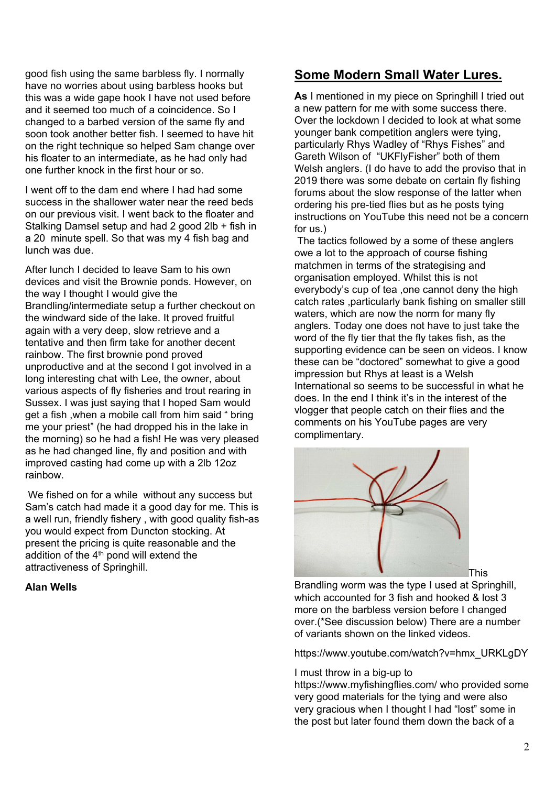good fish using the same barbless fly. I normally have no worries about using barbless hooks but this was a wide gape hook I have not used before and it seemed too much of a coincidence. So I changed to a barbed version of the same fly and soon took another better fish. I seemed to have hit on the right technique so helped Sam change over his floater to an intermediate, as he had only had one further knock in the first hour or so.

I went off to the dam end where I had had some success in the shallower water near the reed beds on our previous visit. I went back to the floater and Stalking Damsel setup and had 2 good 2lb + fish in a 20 minute spell. So that was my 4 fish bag and lunch was due.

After lunch I decided to leave Sam to his own devices and visit the Brownie ponds. However, on the way I thought I would give the Brandling/intermediate setup a further checkout on the windward side of the lake. It proved fruitful again with a very deep, slow retrieve and a tentative and then firm take for another decent rainbow. The first brownie pond proved unproductive and at the second I got involved in a long interesting chat with Lee, the owner, about various aspects of fly fisheries and trout rearing in Sussex. I was just saying that I hoped Sam would get a fish ,when a mobile call from him said " bring me your priest" (he had dropped his in the lake in the morning) so he had a fish! He was very pleased as he had changed line, fly and position and with improved casting had come up with a 2lb 12oz rainbow.

We fished on for a while without any success but Sam's catch had made it a good day for me. This is a well run, friendly fishery , with good quality fish-as you would expect from Duncton stocking. At present the pricing is quite reasonable and the addition of the  $4<sup>th</sup>$  pond will extend the attractiveness of Springhill.

#### **Alan Wells**

## **Some Modern Small Water Lures.**

**As** I mentioned in my piece on Springhill I tried out a new pattern for me with some success there. Over the lockdown I decided to look at what some younger bank competition anglers were tying, particularly Rhys Wadley of "Rhys Fishes" and Gareth Wilson of "UKFlyFisher" both of them Welsh anglers. (I do have to add the proviso that in 2019 there was some debate on certain fly fishing forums about the slow response of the latter when ordering his pre-tied flies but as he posts tying instructions on YouTube this need not be a concern for us.)

The tactics followed by a some of these anglers owe a lot to the approach of course fishing matchmen in terms of the strategising and organisation employed. Whilst this is not everybody's cup of tea ,one cannot deny the high catch rates ,particularly bank fishing on smaller still waters, which are now the norm for many fly anglers. Today one does not have to just take the word of the fly tier that the fly takes fish, as the supporting evidence can be seen on videos. I know these can be "doctored" somewhat to give a good impression but Rhys at least is a Welsh International so seems to be successful in what he does. In the end I think it's in the interest of the vlogger that people catch on their flies and the comments on his YouTube pages are very complimentary.



This

Brandling worm was the type I used at Springhill, which accounted for 3 fish and hooked & lost 3 more on the barbless version before I changed over.(\*See discussion below) There are a number of variants shown on the linked videos.

[https://www.youtube.com/watch?v=hmx\\_URKLgDY](https://www.youtube.com/watch?v=hmx_URKLgDY)

#### I must throw in a big-up to

<https://www.myfishingflies.com/> who provided some very good materials for the tying and were also very gracious when I thought I had "lost" some in the post but later found them down the back of a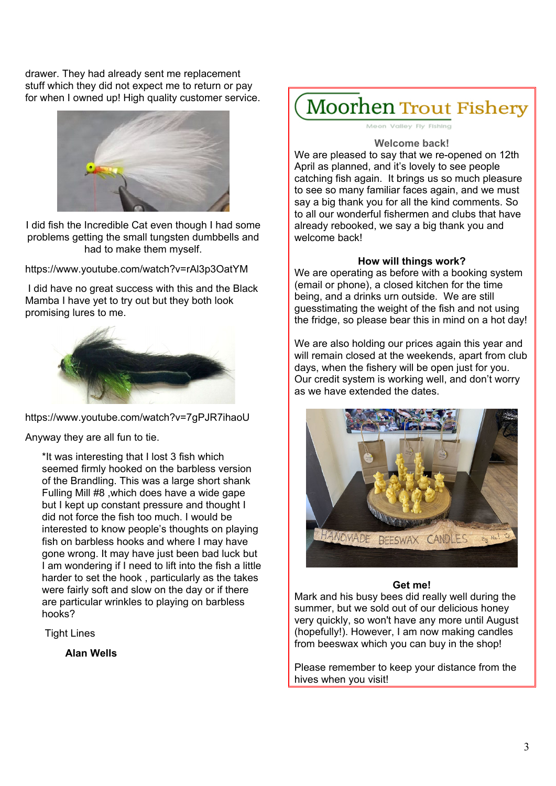drawer. They had already sent me replacement stuff which they did not expect me to return or pay for when I owned up! High quality customer service.



I did fish the Incredible Cat even though I had some problems getting the small tungsten dumbbells and had to make them myself.

<https://www.youtube.com/watch?v=rAl3p3OatYM>

I did have no great success with this and the Black Mamba I have yet to try out but they both look promising lures to me.



<https://www.youtube.com/watch?v=7gPJR7ihaoU>

Anyway they are all fun to tie.

\*It was interesting that I lost 3 fish which seemed firmly hooked on the barbless version of the Brandling. This was a large short shank Fulling Mill #8 ,which does have a wide gape but I kept up constant pressure and thought I did not force the fish too much. I would be interested to know people's thoughts on playing fish on barbless hooks and where I may have gone wrong. It may have just been bad luck but I am wondering if I need to lift into the fish a little harder to set the hook , particularly as the takes were fairly soft and slow on the day or if there are particular wrinkles to playing on barbless hooks?

Tight Lines

**Alan Wells**

**Moorhen Trout Fishery** 

Meon Valley Fly Fishing

#### **Welcome back!**

We are pleased to say that we re-opened on 12th April as planned, and it's lovely to see people catching fish again. It brings us so much pleasure to see so many familiar faces again, and we must say a big thank you for all the kind comments. So to all our wonderful fishermen and clubs that have already rebooked, we say a big thank you and welcome back!

#### **How will things work?**

We are operating as before with a booking system (email or phone), a closed kitchen for the time being, and a drinks urn outside. We are still guesstimating the weight of the fish and not using the fridge, so please bear this in mind on a hot day!

We are also holding our prices again this year and will remain closed at the weekends, apart from club days, when the fishery will be open just for you. Our credit system is working well, and don't worry as we have extended the dates.



#### **Get me!**

Mark and his busy bees did really well during the summer, but we sold out of our delicious honey very quickly, so won't have any more until August (hopefully!). However, I am now making candles from beeswax which you can buy in the shop!

Please remember to keep your distance from the hives when you visit!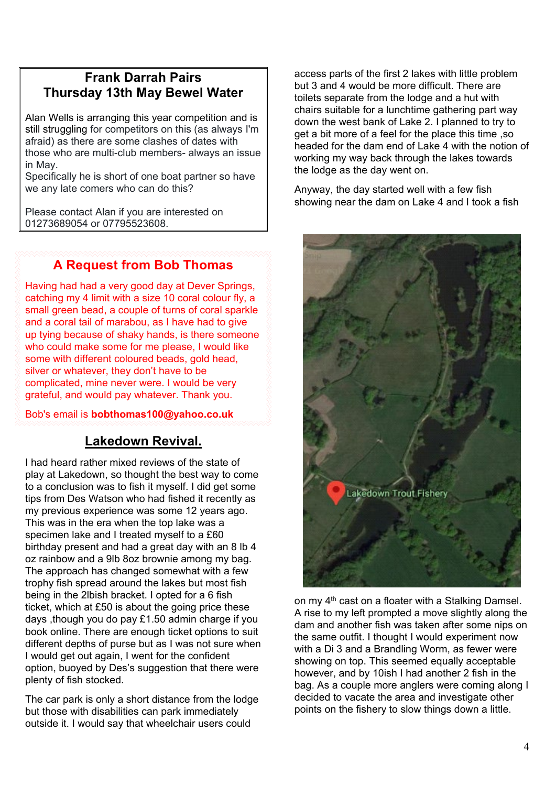## **Frank Darrah Pairs Thursday 13th May Bewel Water**

Alan Wells is arranging this year competition and is still struggling for competitors on this (as always I'm afraid) as there are some clashes of dates with those who are multi-club members- always an issue in May.

Specifically he is short of one boat partner so have we any late comers who can do this?

Please contact Alan if you are interested on 01273689054 or 07795523608.

## **A Request from Bob Thomas**

Having had had a very good day at Dever Springs, catching my 4 limit with a size 10 coral colour fly, a small green bead, a couple of turns of coral sparkle and a coral tail of marabou, as I have had to give up tying because of shaky hands, is there someone who could make some for me please, I would like some with different coloured beads, gold head, silver or whatever, they don't have to be complicated, mine never were. I would be very grateful, and would pay whatever. Thank you.

Bob's email is **bobthomas100@yahoo.co.uk**

## **Lakedown Revival.**

I had heard rather mixed reviews of the state of play at Lakedown, so thought the best way to come to a conclusion was to fish it myself. I did get some tips from Des Watson who had fished it recently as my previous experience was some 12 years ago. This was in the era when the top lake was a specimen lake and I treated myself to a £60 birthday present and had a great day with an 8 lb 4 oz rainbow and a 9lb 8oz brownie among my bag. The approach has changed somewhat with a few trophy fish spread around the lakes but most fish being in the 2lbish bracket. I opted for a 6 fish ticket, which at £50 is about the going price these days ,though you do pay £1.50 admin charge if you book online. There are enough ticket options to suit different depths of purse but as I was not sure when I would get out again, I went for the confident option, buoyed by Des's suggestion that there were plenty of fish stocked.

The car park is only a short distance from the lodge but those with disabilities can park immediately outside it. I would say that wheelchair users could

access parts of the first 2 lakes with little problem but 3 and 4 would be more difficult. There are toilets separate from the lodge and a hut with chairs suitable for a lunchtime gathering part way down the west bank of Lake 2. I planned to try to get a bit more of a feel for the place this time ,so headed for the dam end of Lake 4 with the notion of working my way back through the lakes towards the lodge as the day went on.

Anyway, the day started well with a few fish showing near the dam on Lake 4 and I took a fish



on my 4<sup>th</sup> cast on a floater with a Stalking Damsel. A rise to my left prompted a move slightly along the dam and another fish was taken after some nips on the same outfit. I thought I would experiment now with a Di 3 and a Brandling Worm, as fewer were showing on top. This seemed equally acceptable however, and by 10ish I had another 2 fish in the bag. As a couple more anglers were coming along I decided to vacate the area and investigate other points on the fishery to slow things down a little.